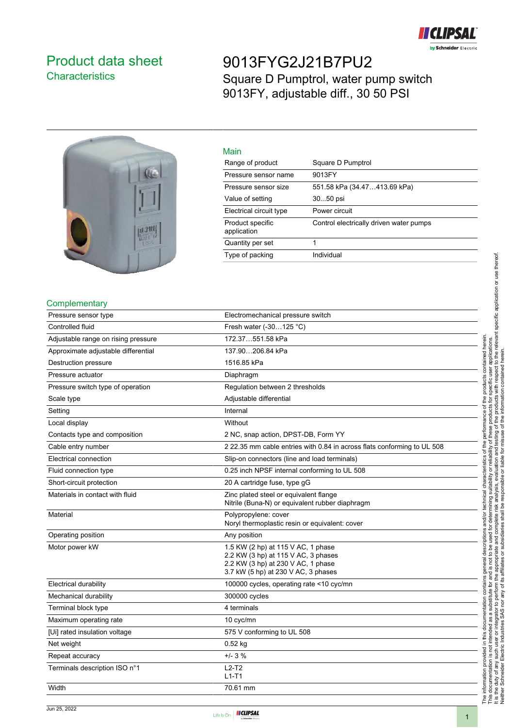

## <span id="page-0-0"></span>Product data sheet **Characteristics**

# 9013FYG2J21B7PU2 Square D Pumptrol, water pump switch 9013FY, adjustable diff., 30 50 PSI



| Main                            |                                         |
|---------------------------------|-----------------------------------------|
| Range of product                | Square D Pumptrol                       |
| Pressure sensor name            | 9013FY                                  |
| Pressure sensor size            | 551.58 kPa (34.47413.69 kPa)            |
| Value of setting                | 3050 psi                                |
| Electrical circuit type         | Power circuit                           |
| Product specific<br>application | Control electrically driven water pumps |
| Quantity per set                |                                         |
| Type of packing                 | Individual                              |
|                                 |                                         |

#### **Complementary**

| Pressure sensor type                | Electromechanical pressure switch                                                                                                                      |
|-------------------------------------|--------------------------------------------------------------------------------------------------------------------------------------------------------|
| Controlled fluid                    | Fresh water (-30125 °C)                                                                                                                                |
| Adjustable range on rising pressure | 172.37551.58 kPa                                                                                                                                       |
| Approximate adjustable differential | 137.90206.84 kPa                                                                                                                                       |
| Destruction pressure                | 1516.85 kPa                                                                                                                                            |
| Pressure actuator                   | Diaphragm                                                                                                                                              |
| Pressure switch type of operation   | Regulation between 2 thresholds                                                                                                                        |
| Scale type                          | Adjustable differential                                                                                                                                |
| Setting                             | Internal                                                                                                                                               |
| Local display                       | Without                                                                                                                                                |
| Contacts type and composition       | 2 NC, snap action, DPST-DB, Form YY                                                                                                                    |
| Cable entry number                  | 2 22.35 mm cable entries with 0.84 in across flats conforming to UL 508                                                                                |
| Electrical connection               | Slip-on connectors (line and load terminals)                                                                                                           |
| Fluid connection type               | 0.25 inch NPSF internal conforming to UL 508                                                                                                           |
| Short-circuit protection            | 20 A cartridge fuse, type gG                                                                                                                           |
| Materials in contact with fluid     | Zinc plated steel or equivalent flange<br>Nitrile (Buna-N) or equivalent rubber diaphragm                                                              |
| Material                            | Polypropylene: cover<br>Noryl thermoplastic resin or equivalent: cover                                                                                 |
| Operating position                  | Any position                                                                                                                                           |
| Motor power kW                      | 1.5 KW (2 hp) at 115 V AC, 1 phase<br>2.2 KW (3 hp) at 115 V AC, 3 phases<br>2.2 KW (3 hp) at 230 V AC, 1 phase<br>3.7 kW (5 hp) at 230 V AC, 3 phases |
| Electrical durability               | 100000 cycles, operating rate <10 cyc/mn                                                                                                               |
| Mechanical durability               | 300000 cycles                                                                                                                                          |
| Terminal block type                 | 4 terminals                                                                                                                                            |
| Maximum operating rate              | 10 cyc/mn                                                                                                                                              |
| [Ui] rated insulation voltage       | 575 V conforming to UL 508                                                                                                                             |
| Net weight                          | $0.52$ kg                                                                                                                                              |
| Repeat accuracy                     | $+/- 3 %$                                                                                                                                              |
| Terminals description ISO n°1       | $L2-T2$<br>$L1-T1$                                                                                                                                     |
| Width                               | 70.61 mm                                                                                                                                               |